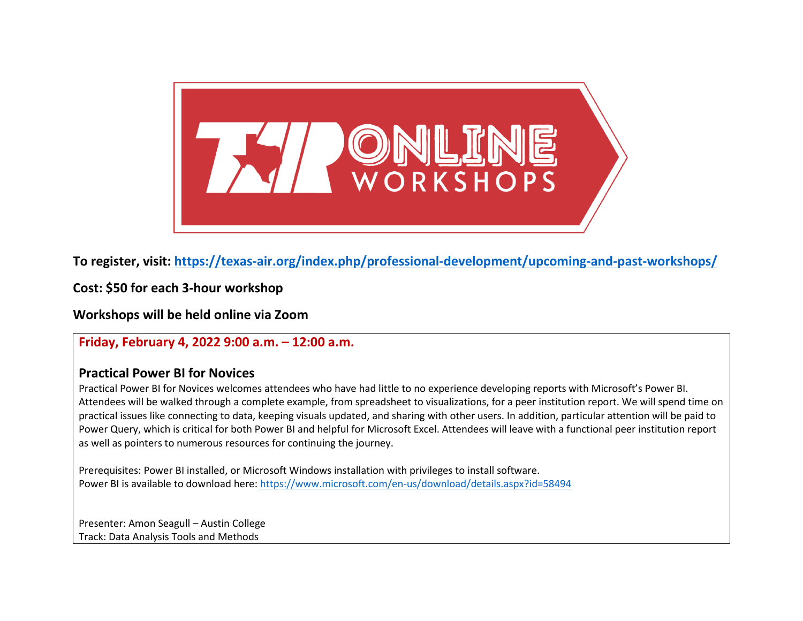

**To register, visit:<https://texas-air.org/index.php/professional-development/upcoming-and-past-workshops/>**

**Cost: \$50 for each 3-hour workshop**

**Workshops will be held online via Zoom**

**Friday, February 4, 2022 9:00 a.m. – 12:00 a.m.**

## **Practical Power BI for Novices**

Practical Power BI for Novices welcomes attendees who have had little to no experience developing reports with Microsoft's Power BI. Attendees will be walked through a complete example, from spreadsheet to visualizations, for a peer institution report. We will spend time on practical issues like connecting to data, keeping visuals updated, and sharing with other users. In addition, particular attention will be paid to Power Query, which is critical for both Power BI and helpful for Microsoft Excel. Attendees will leave with a functional peer institution report as well as pointers to numerous resources for continuing the journey.

Prerequisites: Power BI installed, or Microsoft Windows installation with privileges to install software. Power BI is available to download here[: https://www.microsoft.com/en-us/download/details.aspx?id=58494](https://www.microsoft.com/en-us/download/details.aspx?id=58494)

Presenter: Amon Seagull – Austin College Track: Data Analysis Tools and Methods